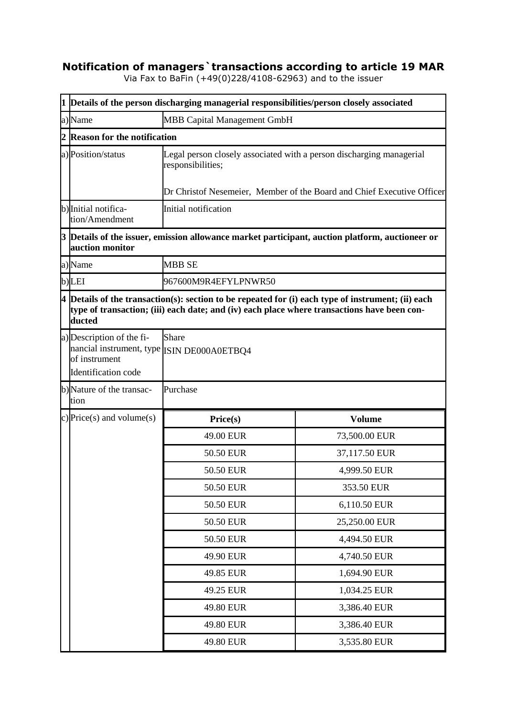## **Notification of managers`transactions according to article 19 MAR**

Via Fax to BaFin (+49(0)228/4108-62963) and to the issuer

|   | 1 Details of the person discharging managerial responsibilities/person closely associated                                                                                                                     |                                                                                                                                                                     |                                                                                                   |  |
|---|---------------------------------------------------------------------------------------------------------------------------------------------------------------------------------------------------------------|---------------------------------------------------------------------------------------------------------------------------------------------------------------------|---------------------------------------------------------------------------------------------------|--|
|   | a)Name                                                                                                                                                                                                        | <b>MBB Capital Management GmbH</b>                                                                                                                                  |                                                                                                   |  |
| 2 | <b>Reason for the notification</b>                                                                                                                                                                            |                                                                                                                                                                     |                                                                                                   |  |
|   | a) Position/status                                                                                                                                                                                            | Legal person closely associated with a person discharging managerial<br>responsibilities;<br>Dr Christof Nesemeier, Member of the Board and Chief Executive Officer |                                                                                                   |  |
|   | b) Initial notifica-<br>tion/Amendment                                                                                                                                                                        | Initial notification                                                                                                                                                |                                                                                                   |  |
|   | auction monitor                                                                                                                                                                                               |                                                                                                                                                                     | $3$ Details of the issuer, emission allowance market participant, auction platform, auctioneer or |  |
|   | a) Name                                                                                                                                                                                                       | <b>MBB SE</b>                                                                                                                                                       |                                                                                                   |  |
|   | b)LEI                                                                                                                                                                                                         | 967600M9R4EFYLPNWR50                                                                                                                                                |                                                                                                   |  |
|   | $4$ Details of the transaction(s): section to be repeated for (i) each type of instrument; (ii) each<br>type of transaction; (iii) each date; and (iv) each place where transactions have been con-<br>ducted |                                                                                                                                                                     |                                                                                                   |  |
|   | a) Description of the fi-<br>nancial instrument, type ISIN DE000A0ETBQ4<br>of instrument<br>Identification code                                                                                               | <b>Share</b>                                                                                                                                                        |                                                                                                   |  |
|   | b)Nature of the transac-<br>tion                                                                                                                                                                              | Purchase                                                                                                                                                            |                                                                                                   |  |
|   | c) Price(s) and volume(s)                                                                                                                                                                                     | Price(s)                                                                                                                                                            | <b>Volume</b>                                                                                     |  |
|   |                                                                                                                                                                                                               | 49.00 EUR                                                                                                                                                           | 73,500.00 EUR                                                                                     |  |
|   |                                                                                                                                                                                                               | 50.50 EUR                                                                                                                                                           | 37,117.50 EUR                                                                                     |  |
|   |                                                                                                                                                                                                               | 50.50 EUR                                                                                                                                                           | 4,999.50 EUR                                                                                      |  |
|   |                                                                                                                                                                                                               | 50.50 EUR                                                                                                                                                           | 353.50 EUR                                                                                        |  |
|   |                                                                                                                                                                                                               | 50.50 EUR                                                                                                                                                           | 6,110.50 EUR                                                                                      |  |
|   |                                                                                                                                                                                                               | 50.50 EUR                                                                                                                                                           | 25,250.00 EUR                                                                                     |  |
|   |                                                                                                                                                                                                               | 50.50 EUR                                                                                                                                                           | 4,494.50 EUR                                                                                      |  |
|   |                                                                                                                                                                                                               | 49.90 EUR                                                                                                                                                           | 4,740.50 EUR                                                                                      |  |
|   |                                                                                                                                                                                                               | 49.85 EUR                                                                                                                                                           | 1,694.90 EUR                                                                                      |  |
|   |                                                                                                                                                                                                               | 49.25 EUR                                                                                                                                                           | 1,034.25 EUR                                                                                      |  |
|   |                                                                                                                                                                                                               | 49.80 EUR                                                                                                                                                           | 3,386.40 EUR                                                                                      |  |
|   |                                                                                                                                                                                                               | 49.80 EUR                                                                                                                                                           | 3,386.40 EUR                                                                                      |  |
|   |                                                                                                                                                                                                               | 49.80 EUR                                                                                                                                                           | 3,535.80 EUR                                                                                      |  |